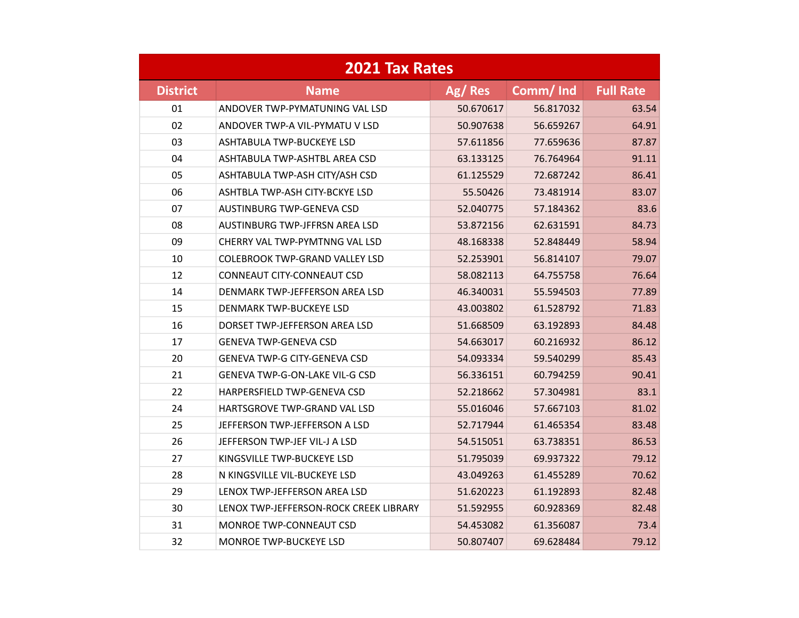| <b>2021 Tax Rates</b> |                                        |           |           |                  |  |  |
|-----------------------|----------------------------------------|-----------|-----------|------------------|--|--|
| <b>District</b>       | <b>Name</b>                            | Ag/Res    | Comm/Ind  | <b>Full Rate</b> |  |  |
| 01                    | ANDOVER TWP-PYMATUNING VAL LSD         | 50.670617 | 56.817032 | 63.54            |  |  |
| 02                    | ANDOVER TWP-A VIL-PYMATU V LSD         | 50.907638 | 56.659267 | 64.91            |  |  |
| 03                    | <b>ASHTABULA TWP-BUCKEYE LSD</b>       | 57.611856 | 77.659636 | 87.87            |  |  |
| 04                    | ASHTABULA TWP-ASHTBL AREA CSD          | 63.133125 | 76.764964 | 91.11            |  |  |
| 05                    | ASHTABULA TWP-ASH CITY/ASH CSD         | 61.125529 | 72.687242 | 86.41            |  |  |
| 06                    | ASHTBLA TWP-ASH CITY-BCKYE LSD         | 55.50426  | 73.481914 | 83.07            |  |  |
| 07                    | <b>AUSTINBURG TWP-GENEVA CSD</b>       | 52.040775 | 57.184362 | 83.6             |  |  |
| 08                    | AUSTINBURG TWP-JFFRSN AREA LSD         | 53.872156 | 62.631591 | 84.73            |  |  |
| 09                    | CHERRY VAL TWP-PYMTNNG VAL LSD         | 48.168338 | 52.848449 | 58.94            |  |  |
| 10                    | <b>COLEBROOK TWP-GRAND VALLEY LSD</b>  | 52.253901 | 56.814107 | 79.07            |  |  |
| 12                    | CONNEAUT CITY-CONNEAUT CSD             | 58.082113 | 64.755758 | 76.64            |  |  |
| 14                    | DENMARK TWP-JEFFERSON AREA LSD         | 46.340031 | 55.594503 | 77.89            |  |  |
| 15                    | DENMARK TWP-BUCKEYE LSD                | 43.003802 | 61.528792 | 71.83            |  |  |
| 16                    | DORSET TWP-JEFFERSON AREA LSD          | 51.668509 | 63.192893 | 84.48            |  |  |
| 17                    | <b>GENEVA TWP-GENEVA CSD</b>           | 54.663017 | 60.216932 | 86.12            |  |  |
| 20                    | <b>GENEVA TWP-G CITY-GENEVA CSD</b>    | 54.093334 | 59.540299 | 85.43            |  |  |
| 21                    | <b>GENEVA TWP-G-ON-LAKE VIL-G CSD</b>  | 56.336151 | 60.794259 | 90.41            |  |  |
| 22                    | <b>HARPERSFIELD TWP-GENEVA CSD</b>     | 52.218662 | 57.304981 | 83.1             |  |  |
| 24                    | HARTSGROVE TWP-GRAND VAL LSD           | 55.016046 | 57.667103 | 81.02            |  |  |
| 25                    | JEFFERSON TWP-JEFFERSON A LSD          | 52.717944 | 61.465354 | 83.48            |  |  |
| 26                    | JEFFERSON TWP-JEF VIL-J A LSD          | 54.515051 | 63.738351 | 86.53            |  |  |
| 27                    | KINGSVILLE TWP-BUCKEYE LSD             | 51.795039 | 69.937322 | 79.12            |  |  |
| 28                    | N KINGSVILLE VIL-BUCKEYE LSD           | 43.049263 | 61.455289 | 70.62            |  |  |
| 29                    | LENOX TWP-JEFFERSON AREA LSD           | 51.620223 | 61.192893 | 82.48            |  |  |
| 30                    | LENOX TWP-JEFFERSON-ROCK CREEK LIBRARY | 51.592955 | 60.928369 | 82.48            |  |  |
| 31                    | MONROE TWP-CONNEAUT CSD                | 54.453082 | 61.356087 | 73.4             |  |  |
| 32                    | MONROE TWP-BUCKEYE LSD                 | 50.807407 | 69.628484 | 79.12            |  |  |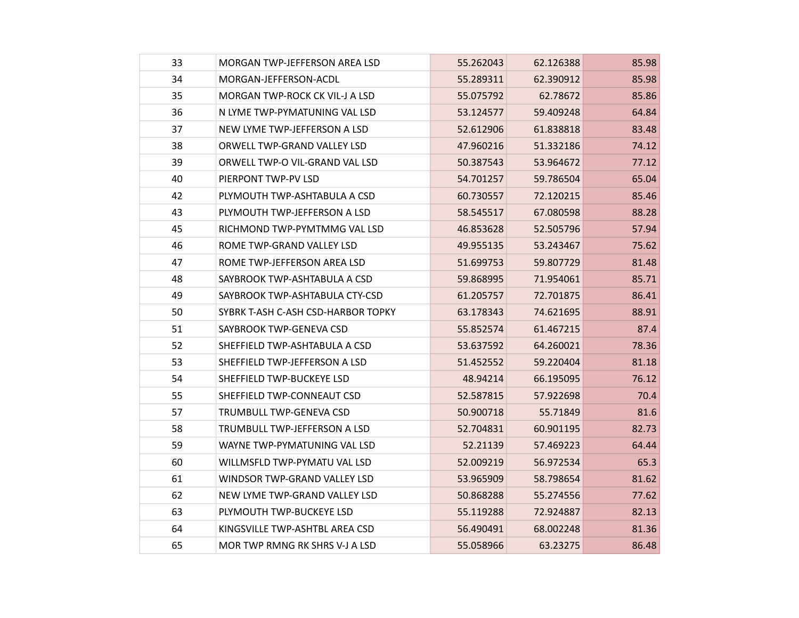| 33 | MORGAN TWP-JEFFERSON AREA LSD      | 55.262043 | 62.126388 | 85.98 |
|----|------------------------------------|-----------|-----------|-------|
| 34 | MORGAN-JEFFERSON-ACDL              | 55.289311 | 62.390912 | 85.98 |
| 35 | MORGAN TWP-ROCK CK VIL-J A LSD     | 55.075792 | 62.78672  | 85.86 |
| 36 | N LYME TWP-PYMATUNING VAL LSD      | 53.124577 | 59.409248 | 64.84 |
| 37 | NEW LYME TWP-JEFFERSON A LSD       | 52.612906 | 61.838818 | 83.48 |
| 38 | ORWELL TWP-GRAND VALLEY LSD        | 47.960216 | 51.332186 | 74.12 |
| 39 | ORWELL TWP-O VIL-GRAND VAL LSD     | 50.387543 | 53.964672 | 77.12 |
| 40 | PIERPONT TWP-PV LSD                | 54.701257 | 59.786504 | 65.04 |
| 42 | PLYMOUTH TWP-ASHTABULA A CSD       | 60.730557 | 72.120215 | 85.46 |
| 43 | PLYMOUTH TWP-JEFFERSON A LSD       | 58.545517 | 67.080598 | 88.28 |
| 45 | RICHMOND TWP-PYMTMMG VAL LSD       | 46.853628 | 52.505796 | 57.94 |
| 46 | ROME TWP-GRAND VALLEY LSD          | 49.955135 | 53.243467 | 75.62 |
| 47 | ROME TWP-JEFFERSON AREA LSD        | 51.699753 | 59.807729 | 81.48 |
| 48 | SAYBROOK TWP-ASHTABULA A CSD       | 59.868995 | 71.954061 | 85.71 |
| 49 | SAYBROOK TWP-ASHTABULA CTY-CSD     | 61.205757 | 72.701875 | 86.41 |
| 50 | SYBRK T-ASH C-ASH CSD-HARBOR TOPKY | 63.178343 | 74.621695 | 88.91 |
| 51 | SAYBROOK TWP-GENEVA CSD            | 55.852574 | 61.467215 | 87.4  |
| 52 | SHEFFIELD TWP-ASHTABULA A CSD      | 53.637592 | 64.260021 | 78.36 |
| 53 | SHEFFIELD TWP-JEFFERSON A LSD      | 51.452552 | 59.220404 | 81.18 |
| 54 | SHEFFIELD TWP-BUCKEYE LSD          | 48.94214  | 66.195095 | 76.12 |
| 55 | SHEFFIELD TWP-CONNEAUT CSD         | 52.587815 | 57.922698 | 70.4  |
| 57 | TRUMBULL TWP-GENEVA CSD            | 50.900718 | 55.71849  | 81.6  |
| 58 | TRUMBULL TWP-JEFFERSON A LSD       | 52.704831 | 60.901195 | 82.73 |
| 59 | WAYNE TWP-PYMATUNING VAL LSD       | 52.21139  | 57.469223 | 64.44 |
| 60 | WILLMSFLD TWP-PYMATU VAL LSD       | 52.009219 | 56.972534 | 65.3  |
| 61 | WINDSOR TWP-GRAND VALLEY LSD       | 53.965909 | 58.798654 | 81.62 |
| 62 | NEW LYME TWP-GRAND VALLEY LSD      | 50.868288 | 55.274556 | 77.62 |
| 63 | PLYMOUTH TWP-BUCKEYE LSD           | 55.119288 | 72.924887 | 82.13 |
| 64 | KINGSVILLE TWP-ASHTBL AREA CSD     | 56.490491 | 68.002248 | 81.36 |
| 65 | MOR TWP RMNG RK SHRS V-J A LSD     | 55.058966 | 63.23275  | 86.48 |